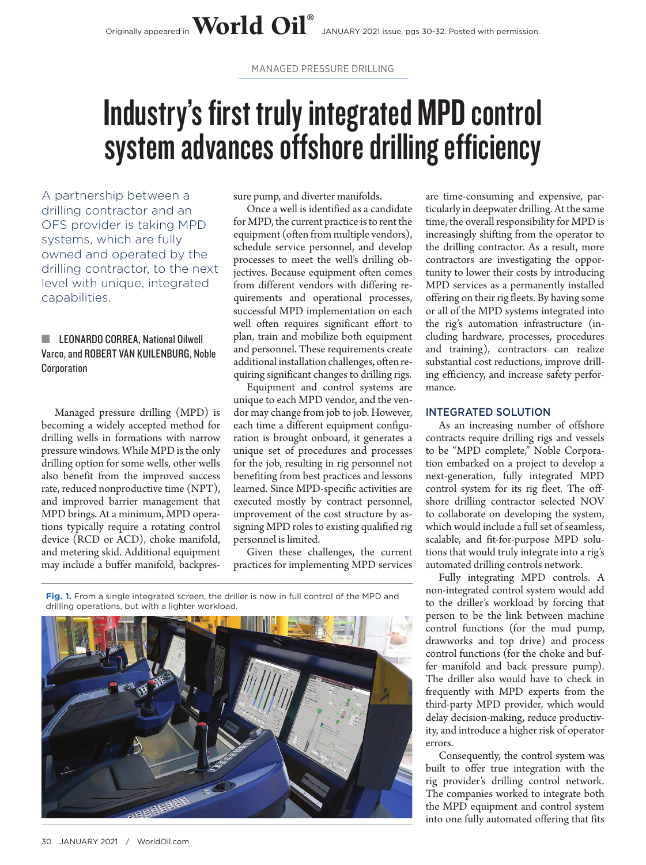MANAGED PRESSURE DRILLING

# Industry's first truly integrated MPD control system advances offshore drilling efficiency

A partnership between a drilling contractor and an OFS provider is taking MPD systems, which are fully owned and operated by the drilling contractor, to the next level with unique, integrated capabilities.

## **El LEONARDO CORREA, National Oilwell** Varco, and ROBERT VAN KUILENBURG, Noble **Corporation**

Managed pressure drilling (MPD) is becoming a widely accepted method for drilling wells in formations with narrow pressure windows. While MPD is the only drilling option for some wells, other wells also benefit from the improved success rate, reduced nonproductive time (NPT), and improved barrier management that MPD brings. At a minimum, MPD operations typically require a rotating control device (RCD or ACD), choke manifold, and metering skid. Additional equipment may include a buffer manifold, backpressure pump, and diverter manifolds.

Once a well is identified as a candidate for MPD, the current practice is to rent the equipment (often from multiple vendors), schedule service personnel, and develop processes to meet the well's drilling objectives. Because equipment often comes from different vendors with differing requirements and operational processes, successful MPD implementation on each well often requires significant effort to plan, train and mobilize both equipment and personnel. These requirements create additional installation challenges, often requiring significant changes to drilling rigs.

Equipment and control systems are unique to each MPD vendor, and the vendor may change from job to job. However, each time a different equipment configuration is brought onboard, it generates a unique set of procedures and processes for the job, resulting in rig personnel not benefiting from best practices and lessons learned. Since MPD-specific activities are executed mostly by contract personnel, improvement of the cost structure by assigning MPD roles to existing qualified rig personnel is limited.

Given these challenges, the current practices for implementing MPD services

ticularly in deepwater drilling. At the same time, the overall responsibility for MPD is increasingly shifting from the operator to the drilling contractor. As a result, more contractors are investigating the opportunity to lower their costs by introducing MPD services as a permanently installed offering on their rig fleets. By having some or all of the MPD systems integrated into the rig's automation infrastructure (including hardware, processes, procedures and training), contractors can realize substantial cost reductions, improve drilling efficiency, and increase safety performance.

are time-consuming and expensive, par-

## INTEGRATED SOLUTION

As an increasing number of offshore contracts require drilling rigs and vessels to be "MPD complete," Noble Corporation embarked on a project to develop a next-generation, fully integrated MPD control system for its rig fleet. The offshore drilling contractor selected NOV to collaborate on developing the system, which would include a full set of seamless, scalable, and fit-for-purpose MPD solutions that would truly integrate into a rig's automated drilling controls network.

Fully integrating MPD controls. A non-integrated control system would add to the driller's workload by forcing that person to be the link between machine control functions (for the mud pump, drawworks and top drive) and process control functions (for the choke and buffer manifold and back pressure pump). The driller also would have to check in frequently with MPD experts from the third-party MPD provider, which would delay decision-making, reduce productivity, and introduce a higher risk of operator errors.

Consequently, the control system was built to offer true integration with the rig provider's drilling control network. The companies worked to integrate both the MPD equipment and control system into one fully automated offering that fits

**Fig. 1.** From a single integrated screen, the driller is now in full control of the MPD and drilling operations, but with a lighter workload.

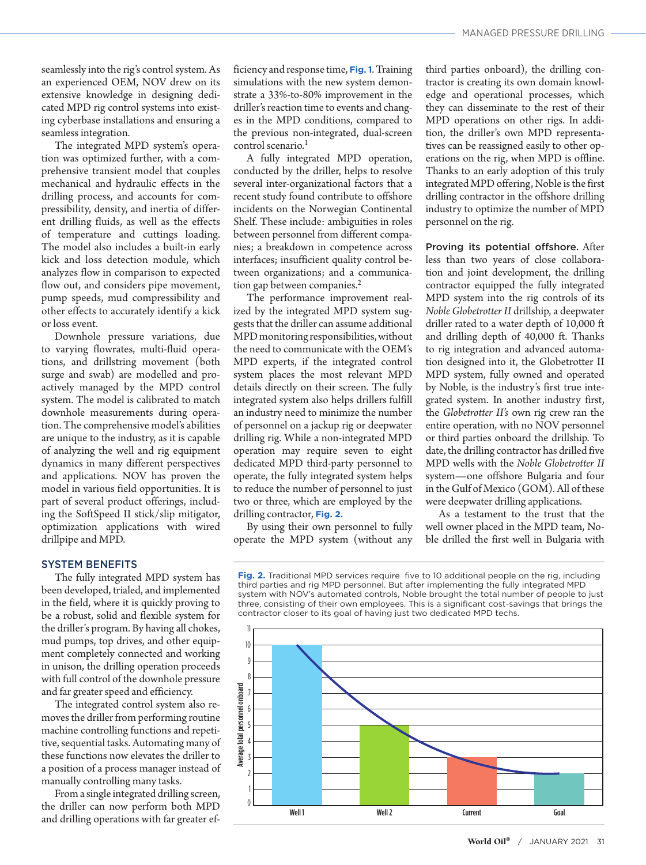seamlessly into the rig's control system. As an experienced OEM, NOV drew on its extensive knowledge in designing dedicated MPD rig control systems into existing cyberbase installations and ensuring a seamless integration.

The integrated MPD system's operation was optimized further, with a comprehensive transient model that couples mechanical and hydraulic effects in the drilling process, and accounts for compressibility, density, and inertia of different drilling fluids, as well as the effects of temperature and cuttings loading. The model also includes a built-in early kick and loss detection module, which analyzes flow in comparison to expected flow out, and considers pipe movement, pump speeds, mud compressibility and other effects to accurately identify a kick or loss event.

Downhole pressure variations, due to varying flowrates, multi-fluid operations, and drillstring movement (both surge and swab) are modelled and proactively managed by the MPD control system. The model is calibrated to match downhole measurements during operation. The comprehensive model's abilities are unique to the industry, as it is capable of analyzing the well and rig equipment dynamics in many different perspectives and applications. NOV has proven the model in various field opportunities. It is part of several product offerings, including the SoftSpeed II stick/slip mitigator, optimization applications with wired drillpipe and MPD.

### SYSTEM BENEFITS

The fully integrated MPD system has been developed, trialed, and implemented in the field, where it is quickly proving to be a robust, solid and flexible system for the driller's program. By having all chokes, mud pumps, top drives, and other equipment completely connected and working in unison, the drilling operation proceeds with full control of the downhole pressure and far greater speed and efficiency.

The integrated control system also removes the driller from performing routine machine controlling functions and repetitive, sequential tasks. Automating many of these functions now elevates the driller to a position of a process manager instead of manually controlling many tasks.

From a single integrated drilling screen, the driller can now perform both MPD and drilling operations with far greater efficiency and response time, **Fig. 1**. Training simulations with the new system demonstrate a 33%-to-80% improvement in the driller's reaction time to events and changes in the MPD conditions, compared to the previous non-integrated, dual-screen control scenario.<sup>1</sup>

A fully integrated MPD operation, conducted by the driller, helps to resolve several inter-organizational factors that a recent study found contribute to offshore incidents on the Norwegian Continental Shelf. These include: ambiguities in roles between personnel from different companies; a breakdown in competence across interfaces; insufficient quality control between organizations; and a communication gap between companies.<sup>2</sup>

The performance improvement realized by the integrated MPD system suggests that the driller can assume additional MPD monitoring responsibilities, without the need to communicate with the OEM's MPD experts, if the integrated control system places the most relevant MPD details directly on their screen. The fully integrated system also helps drillers fulfill an industry need to minimize the number of personnel on a jackup rig or deepwater drilling rig. While a non-integrated MPD operation may require seven to eight dedicated MPD third-party personnel to operate, the fully integrated system helps to reduce the number of personnel to just two or three, which are employed by the drilling contractor, **Fig. 2.**

By using their own personnel to fully operate the MPD system (without any third parties onboard), the drilling contractor is creating its own domain knowledge and operational processes, which they can disseminate to the rest of their MPD operations on other rigs. In addition, the driller's own MPD representatives can be reassigned easily to other operations on the rig, when MPD is offline. Thanks to an early adoption of this truly integrated MPD offering, Noble is the first drilling contractor in the offshore drilling industry to optimize the number of MPD personnel on the rig.

Proving its potential offshore. After less than two years of close collaboration and joint development, the drilling contractor equipped the fully integrated MPD system into the rig controls of its *Noble Globetrotter II* drillship, a deepwater driller rated to a water depth of 10,000 ft and drilling depth of 40,000 ft. Thanks to rig integration and advanced automation designed into it, the Globetrotter II MPD system, fully owned and operated by Noble, is the industry's first true integrated system. In another industry first, the *Globetrotter II's* own rig crew ran the entire operation, with no NOV personnel or third parties onboard the drillship. To date, the drilling contractor has drilled five MPD wells with the *Noble Globetrotter II* system—one offshore Bulgaria and four in the Gulf of Mexico (GOM). All of these were deepwater drilling applications.

As a testament to the trust that the well owner placed in the MPD team, Noble drilled the first well in Bulgaria with

**Fig. 2.** Traditional MPD services require five to 10 additional people on the rig, including third parties and rig MPD personnel. But after implementing the fully integrated MPD system with NOV's automated controls, Noble brought the total number of people to just three, consisting of their own employees. This is a significant cost-savings that brings the contractor closer to its goal of having just two dedicated MPD techs.